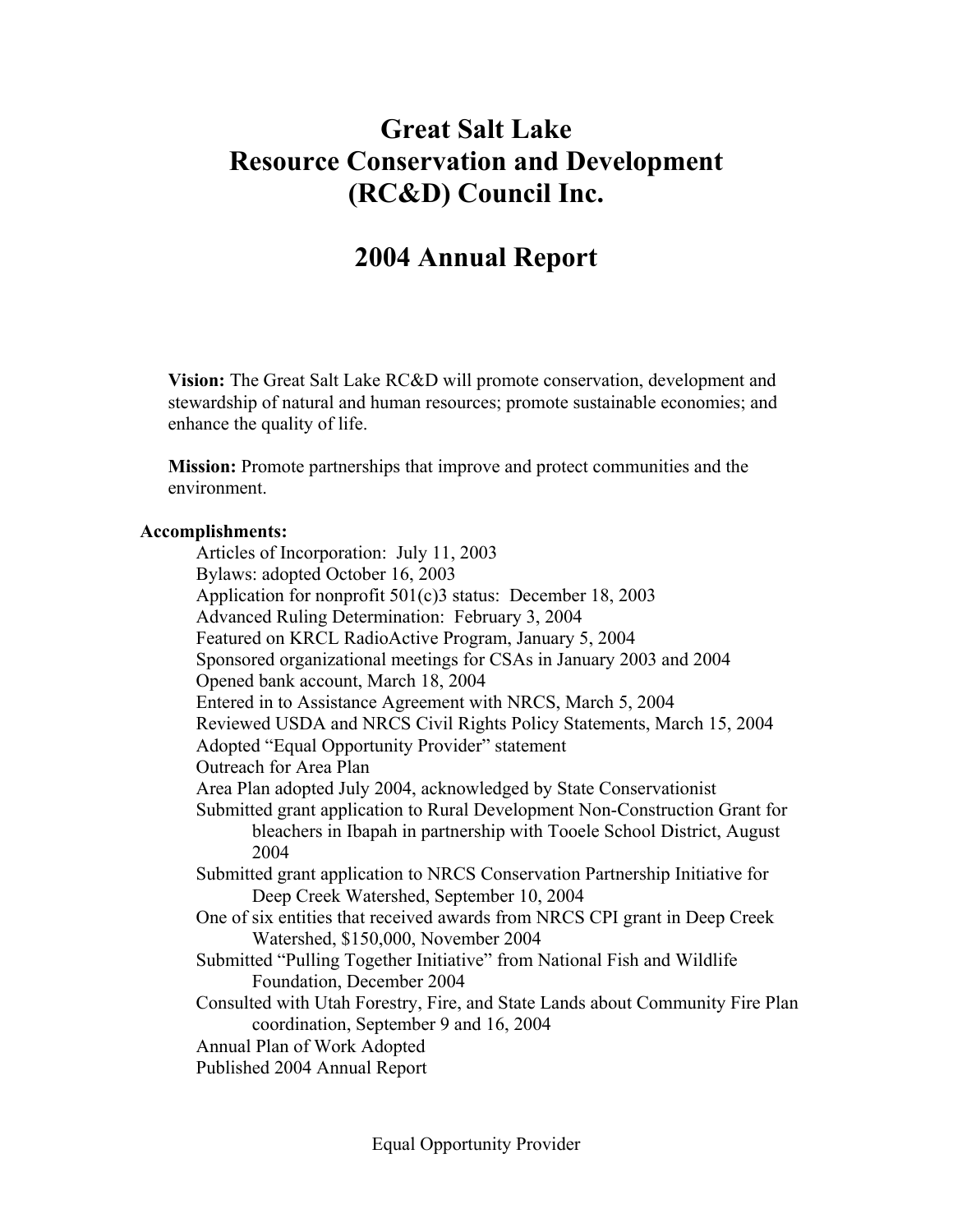## **Great Salt Lake Resource Conservation and Development (RC&D) Council Inc.**

## **2004 Annual Report**

**Vision:** The Great Salt Lake RC&D will promote conservation, development and stewardship of natural and human resources; promote sustainable economies; and enhance the quality of life.

**Mission:** Promote partnerships that improve and protect communities and the environment.

## **Accomplishments:**

 Articles of Incorporation: July 11, 2003 Bylaws: adopted October 16, 2003 Application for nonprofit 501(c)3 status: December 18, 2003 Advanced Ruling Determination: February 3, 2004 Featured on KRCL RadioActive Program, January 5, 2004 Sponsored organizational meetings for CSAs in January 2003 and 2004 Opened bank account, March 18, 2004 Entered in to Assistance Agreement with NRCS, March 5, 2004 Reviewed USDA and NRCS Civil Rights Policy Statements, March 15, 2004 Adopted "Equal Opportunity Provider" statement Outreach for Area Plan Area Plan adopted July 2004, acknowledged by State Conservationist Submitted grant application to Rural Development Non-Construction Grant for bleachers in Ibapah in partnership with Tooele School District, August 2004 Submitted grant application to NRCS Conservation Partnership Initiative for Deep Creek Watershed, September 10, 2004 One of six entities that received awards from NRCS CPI grant in Deep Creek Watershed, \$150,000, November 2004 Submitted "Pulling Together Initiative" from National Fish and Wildlife Foundation, December 2004 Consulted with Utah Forestry, Fire, and State Lands about Community Fire Plan coordination, September 9 and 16, 2004 Annual Plan of Work Adopted Published 2004 Annual Report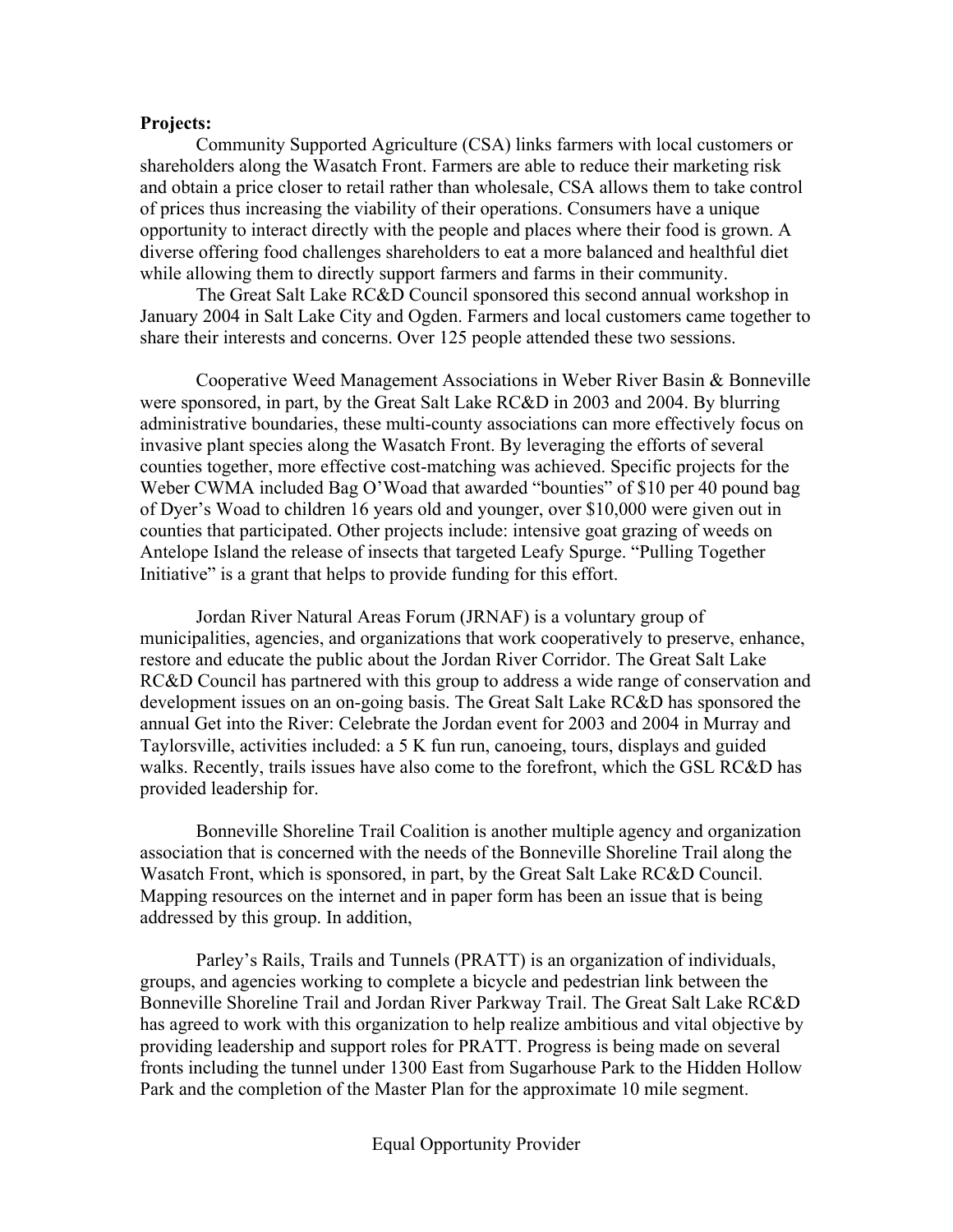## **Projects:**

Community Supported Agriculture (CSA) links farmers with local customers or shareholders along the Wasatch Front. Farmers are able to reduce their marketing risk and obtain a price closer to retail rather than wholesale, CSA allows them to take control of prices thus increasing the viability of their operations. Consumers have a unique opportunity to interact directly with the people and places where their food is grown. A diverse offering food challenges shareholders to eat a more balanced and healthful diet while allowing them to directly support farmers and farms in their community.

 The Great Salt Lake RC&D Council sponsored this second annual workshop in January 2004 in Salt Lake City and Ogden. Farmers and local customers came together to share their interests and concerns. Over 125 people attended these two sessions.

 Cooperative Weed Management Associations in Weber River Basin & Bonneville were sponsored, in part, by the Great Salt Lake RC&D in 2003 and 2004. By blurring administrative boundaries, these multi-county associations can more effectively focus on invasive plant species along the Wasatch Front. By leveraging the efforts of several counties together, more effective cost-matching was achieved. Specific projects for the Weber CWMA included Bag O'Woad that awarded "bounties" of \$10 per 40 pound bag of Dyer's Woad to children 16 years old and younger, over \$10,000 were given out in counties that participated. Other projects include: intensive goat grazing of weeds on Antelope Island the release of insects that targeted Leafy Spurge. "Pulling Together Initiative" is a grant that helps to provide funding for this effort.

 Jordan River Natural Areas Forum (JRNAF) is a voluntary group of municipalities, agencies, and organizations that work cooperatively to preserve, enhance, restore and educate the public about the Jordan River Corridor. The Great Salt Lake RC&D Council has partnered with this group to address a wide range of conservation and development issues on an on-going basis. The Great Salt Lake RC&D has sponsored the annual Get into the River: Celebrate the Jordan event for 2003 and 2004 in Murray and Taylorsville, activities included: a 5 K fun run, canoeing, tours, displays and guided walks. Recently, trails issues have also come to the forefront, which the GSL RC&D has provided leadership for.

 Bonneville Shoreline Trail Coalition is another multiple agency and organization association that is concerned with the needs of the Bonneville Shoreline Trail along the Wasatch Front, which is sponsored, in part, by the Great Salt Lake RC&D Council. Mapping resources on the internet and in paper form has been an issue that is being addressed by this group. In addition,

Parley's Rails, Trails and Tunnels (PRATT) is an organization of individuals, groups, and agencies working to complete a bicycle and pedestrian link between the Bonneville Shoreline Trail and Jordan River Parkway Trail. The Great Salt Lake RC&D has agreed to work with this organization to help realize ambitious and vital objective by providing leadership and support roles for PRATT. Progress is being made on several fronts including the tunnel under 1300 East from Sugarhouse Park to the Hidden Hollow Park and the completion of the Master Plan for the approximate 10 mile segment.